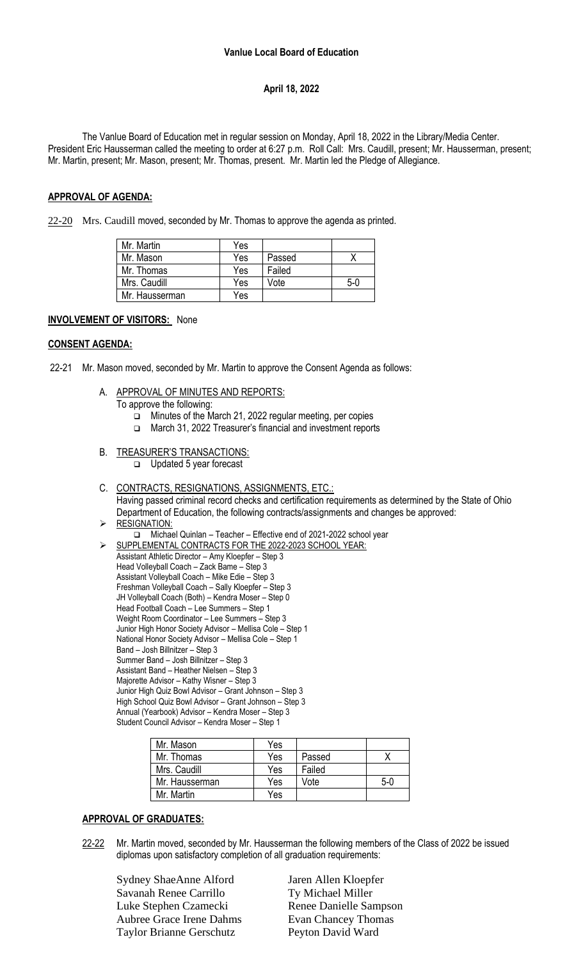## **April 18, 2022**

The Vanlue Board of Education met in regular session on Monday, April 18, 2022 in the Library/Media Center. President Eric Hausserman called the meeting to order at 6:27 p.m. Roll Call: Mrs. Caudill, present; Mr. Hausserman, present; Mr. Martin, present; Mr. Mason, present; Mr. Thomas, present. Mr. Martin led the Pledge of Allegiance.

### **APPROVAL OF AGENDA:**

22-20 Mrs. Caudill moved, seconded by Mr. Thomas to approve the agenda as printed.

| Mr. Martin     | Yes |        |     |
|----------------|-----|--------|-----|
| Mr. Mason      | Yes | Passed |     |
| Mr. Thomas     | Yes | Failed |     |
| Mrs. Caudill   | Yes | Vote   | 5-0 |
| Mr. Hausserman | Yes |        |     |

#### **INVOLVEMENT OF VISITORS:** None

#### **CONSENT AGENDA:**

- 22-21 Mr. Mason moved, seconded by Mr. Martin to approve the Consent Agenda as follows:
	- A. APPROVAL OF MINUTES AND REPORTS:
		- To approve the following:
			- ❑ Minutes of the March 21, 2022 regular meeting, per copies
			- ❑ March 31, 2022 Treasurer's financial and investment reports
	- B. TREASURER'S TRANSACTIONS:
		- ❑ Updated 5 year forecast

#### C. CONTRACTS, RESIGNATIONS, ASSIGNMENTS, ETC.:

Having passed criminal record checks and certification requirements as determined by the State of Ohio Department of Education, the following contracts/assignments and changes be approved: **RESIGNATION:** 

❑ Michael Quinlan – Teacher – Effective end of 2021-2022 school year

➢ SUPPLEMENTAL CONTRACTS FOR THE 2022-2023 SCHOOL YEAR: Assistant Athletic Director – Amy Kloepfer – Step 3 Head Volleyball Coach – Zack Bame – Step 3 Assistant Volleyball Coach – Mike Edie – Step 3 Freshman Volleyball Coach – Sally Kloepfer – Step 3 JH Volleyball Coach (Both) – Kendra Moser – Step 0 Head Football Coach – Lee Summers – Step 1 Weight Room Coordinator – Lee Summers – Step 3 Junior High Honor Society Advisor – Mellisa Cole – Step 1 National Honor Society Advisor – Mellisa Cole – Step 1 Band – Josh Billnitzer – Step 3 Summer Band – Josh Billnitzer – Step 3 Assistant Band – Heather Nielsen – Step 3 Majorette Advisor – Kathy Wisner – Step 3 Junior High Quiz Bowl Advisor – Grant Johnson – Step 3 High School Quiz Bowl Advisor – Grant Johnson – Step 3 Annual (Yearbook) Advisor – Kendra Moser – Step 3 Student Council Advisor – Kendra Moser – Step 1

| Mr. Mason      | Yes |        |       |
|----------------|-----|--------|-------|
| Mr. Thomas     | Yes | Passed |       |
| Mrs. Caudill   | Yes | Failed |       |
| Mr. Hausserman | Yes | Vote   | $5-0$ |
| Mr. Martin     | Yes |        |       |

#### **APPROVAL OF GRADUATES:**

22-22 Mr. Martin moved, seconded by Mr. Hausserman the following members of the Class of 2022 be issued diplomas upon satisfactory completion of all graduation requirements:

Sydney ShaeAnne Alford Jaren Allen Kloepfer Savanah Renee Carrillo Ty Michael Miller Luke Stephen Czamecki Renee Danielle Sampson Aubree Grace Irene Dahms Evan Chancey Thomas Taylor Brianne Gerschutz Peyton David Ward